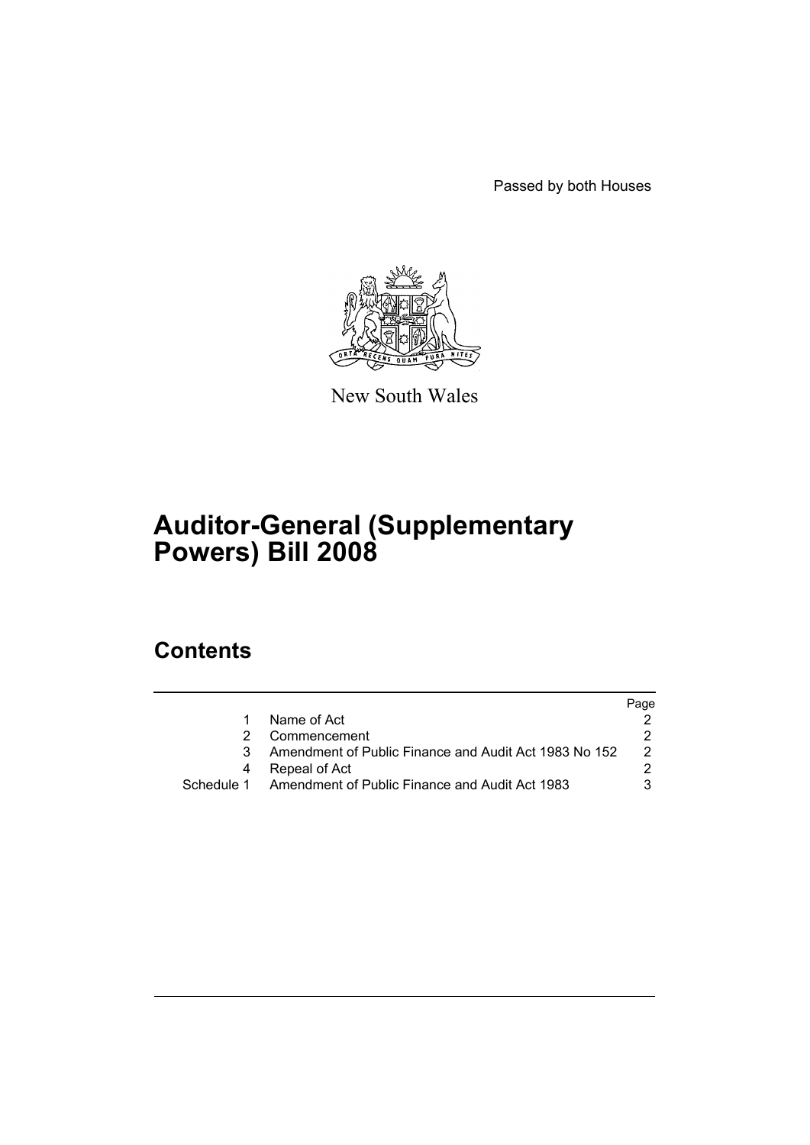Passed by both Houses



New South Wales

# **Auditor-General (Supplementary Powers) Bill 2008**

## **Contents**

|               | Page                                                                                                               |
|---------------|--------------------------------------------------------------------------------------------------------------------|
| Name of Act   |                                                                                                                    |
| Commencement  | 2.                                                                                                                 |
|               | $\mathcal{P} \equiv$                                                                                               |
| Repeal of Act |                                                                                                                    |
|               |                                                                                                                    |
|               | Amendment of Public Finance and Audit Act 1983 No 152<br>Schedule 1 Amendment of Public Finance and Audit Act 1983 |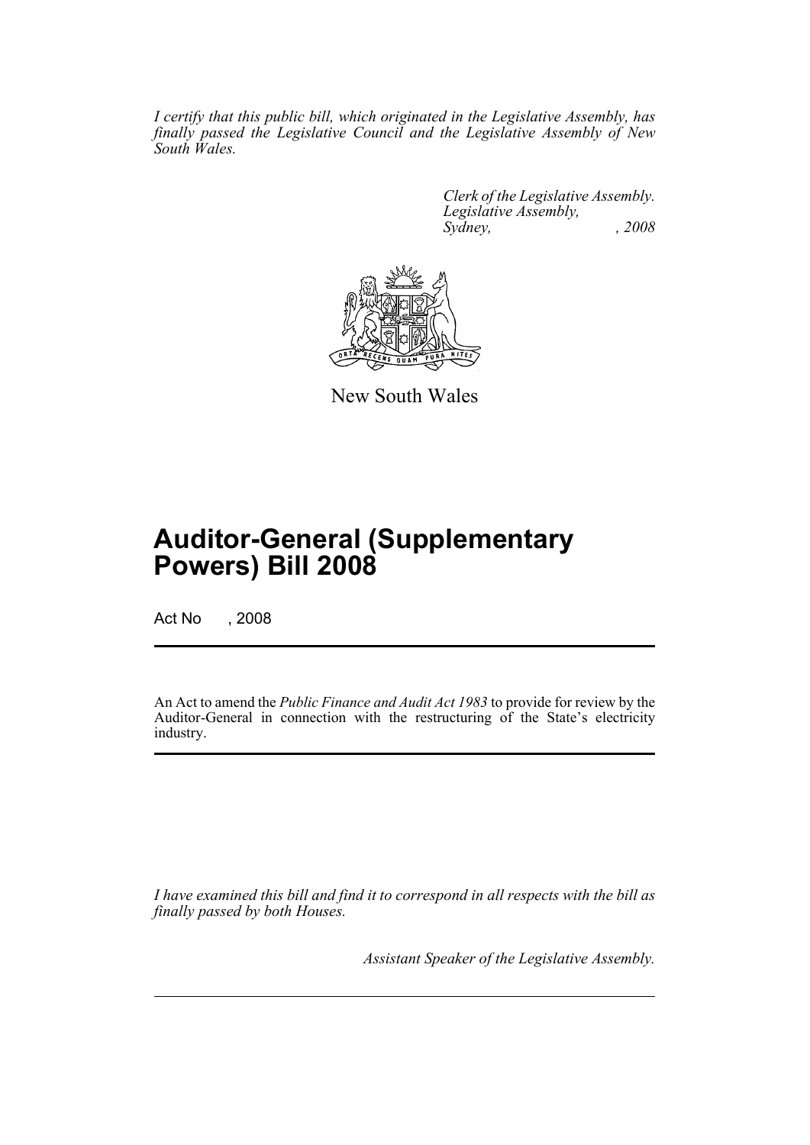*I certify that this public bill, which originated in the Legislative Assembly, has finally passed the Legislative Council and the Legislative Assembly of New South Wales.*

> *Clerk of the Legislative Assembly. Legislative Assembly, Sydney, , 2008*



New South Wales

## **Auditor-General (Supplementary Powers) Bill 2008**

Act No , 2008

An Act to amend the *Public Finance and Audit Act 1983* to provide for review by the Auditor-General in connection with the restructuring of the State's electricity industry.

*I have examined this bill and find it to correspond in all respects with the bill as finally passed by both Houses.*

*Assistant Speaker of the Legislative Assembly.*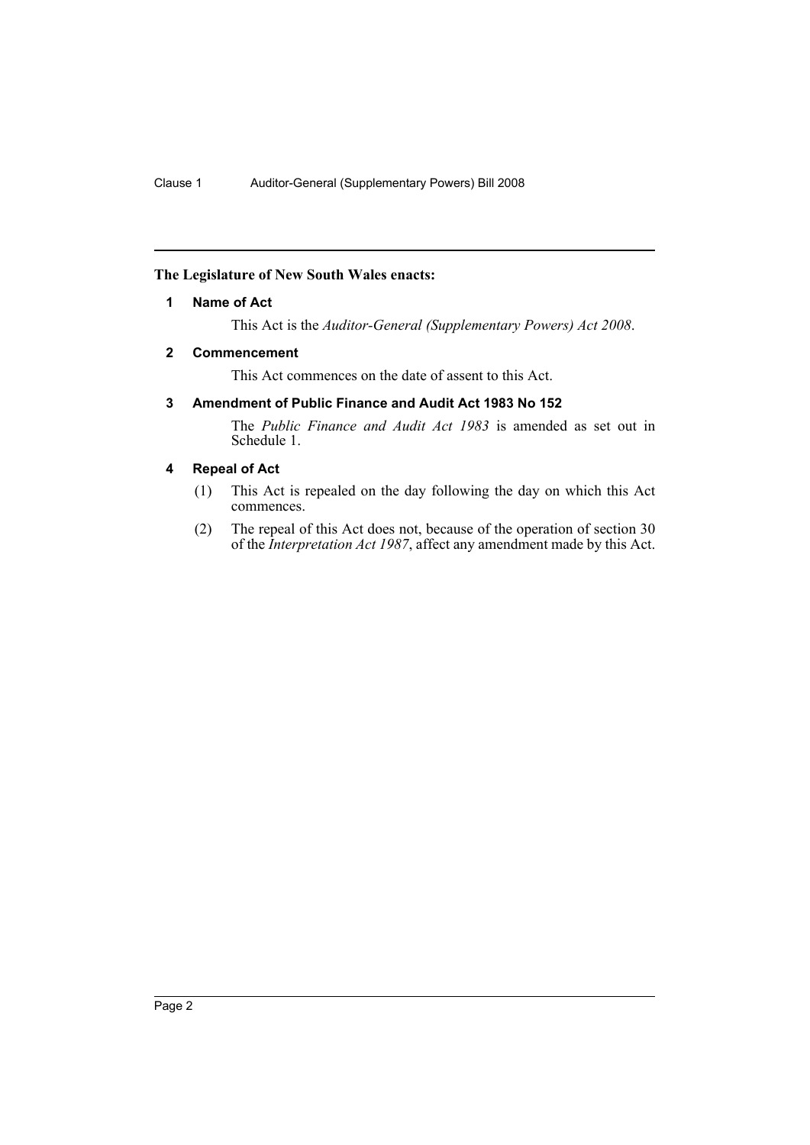### <span id="page-2-0"></span>**The Legislature of New South Wales enacts:**

### **1 Name of Act**

This Act is the *Auditor-General (Supplementary Powers) Act 2008*.

### <span id="page-2-1"></span>**2 Commencement**

This Act commences on the date of assent to this Act.

### <span id="page-2-2"></span>**3 Amendment of Public Finance and Audit Act 1983 No 152**

The *Public Finance and Audit Act 1983* is amended as set out in Schedule 1.

### <span id="page-2-3"></span>**4 Repeal of Act**

- (1) This Act is repealed on the day following the day on which this Act commences.
- (2) The repeal of this Act does not, because of the operation of section 30 of the *Interpretation Act 1987*, affect any amendment made by this Act.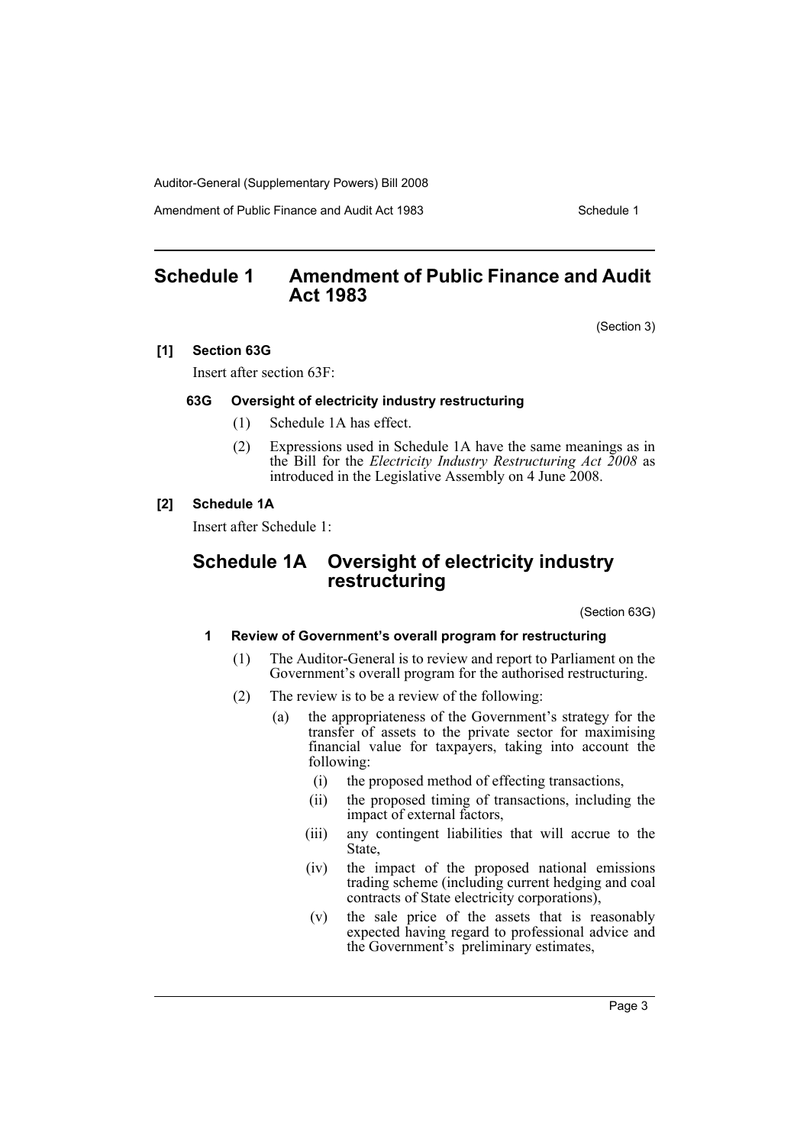Auditor-General (Supplementary Powers) Bill 2008

Amendment of Public Finance and Audit Act 1983 Schedule 1

### <span id="page-3-0"></span>**Schedule 1 Amendment of Public Finance and Audit Act 1983**

(Section 3)

### **[1] Section 63G**

Insert after section 63F:

### **63G Oversight of electricity industry restructuring**

- (1) Schedule 1A has effect.
- (2) Expressions used in Schedule 1A have the same meanings as in the Bill for the *Electricity Industry Restructuring Act 2008* as introduced in the Legislative Assembly on 4 June 2008.

### **[2] Schedule 1A**

Insert after Schedule 1:

### **Schedule 1A Oversight of electricity industry restructuring**

(Section 63G)

### **1 Review of Government's overall program for restructuring**

- (1) The Auditor-General is to review and report to Parliament on the Government's overall program for the authorised restructuring.
- (2) The review is to be a review of the following:
	- (a) the appropriateness of the Government's strategy for the transfer of assets to the private sector for maximising financial value for taxpayers, taking into account the following:
		- (i) the proposed method of effecting transactions,
		- (ii) the proposed timing of transactions, including the impact of external factors,
		- (iii) any contingent liabilities that will accrue to the State,
		- (iv) the impact of the proposed national emissions trading scheme (including current hedging and coal contracts of State electricity corporations),
		- (v) the sale price of the assets that is reasonably expected having regard to professional advice and the Government's preliminary estimates,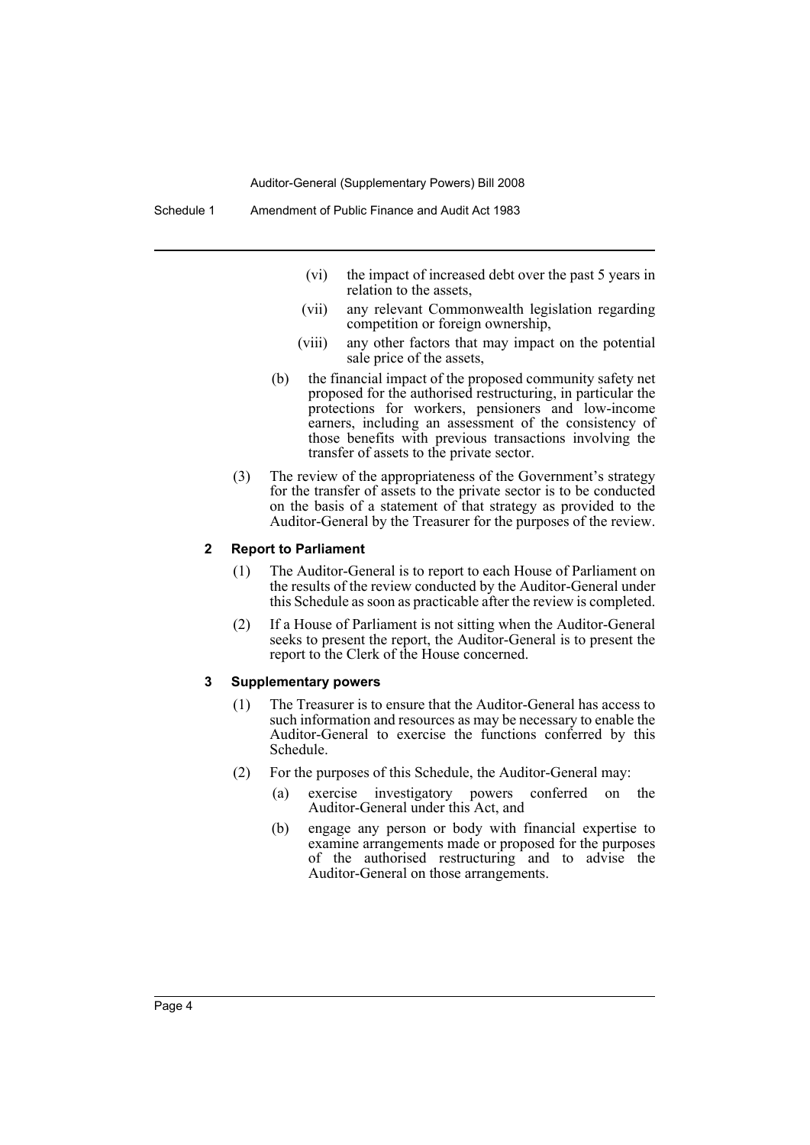Auditor-General (Supplementary Powers) Bill 2008

Schedule 1 Amendment of Public Finance and Audit Act 1983

- (vi) the impact of increased debt over the past 5 years in relation to the assets,
- (vii) any relevant Commonwealth legislation regarding competition or foreign ownership,
- (viii) any other factors that may impact on the potential sale price of the assets,
- (b) the financial impact of the proposed community safety net proposed for the authorised restructuring, in particular the protections for workers, pensioners and low-income earners, including an assessment of the consistency of those benefits with previous transactions involving the transfer of assets to the private sector.
- (3) The review of the appropriateness of the Government's strategy for the transfer of assets to the private sector is to be conducted on the basis of a statement of that strategy as provided to the Auditor-General by the Treasurer for the purposes of the review.

#### **2 Report to Parliament**

- (1) The Auditor-General is to report to each House of Parliament on the results of the review conducted by the Auditor-General under this Schedule as soon as practicable after the review is completed.
- (2) If a House of Parliament is not sitting when the Auditor-General seeks to present the report, the Auditor-General is to present the report to the Clerk of the House concerned.

#### **3 Supplementary powers**

- (1) The Treasurer is to ensure that the Auditor-General has access to such information and resources as may be necessary to enable the Auditor-General to exercise the functions conferred by this Schedule.
- (2) For the purposes of this Schedule, the Auditor-General may:
	- (a) exercise investigatory powers conferred on the Auditor-General under this Act, and
	- (b) engage any person or body with financial expertise to examine arrangements made or proposed for the purposes of the authorised restructuring and to advise the Auditor-General on those arrangements.